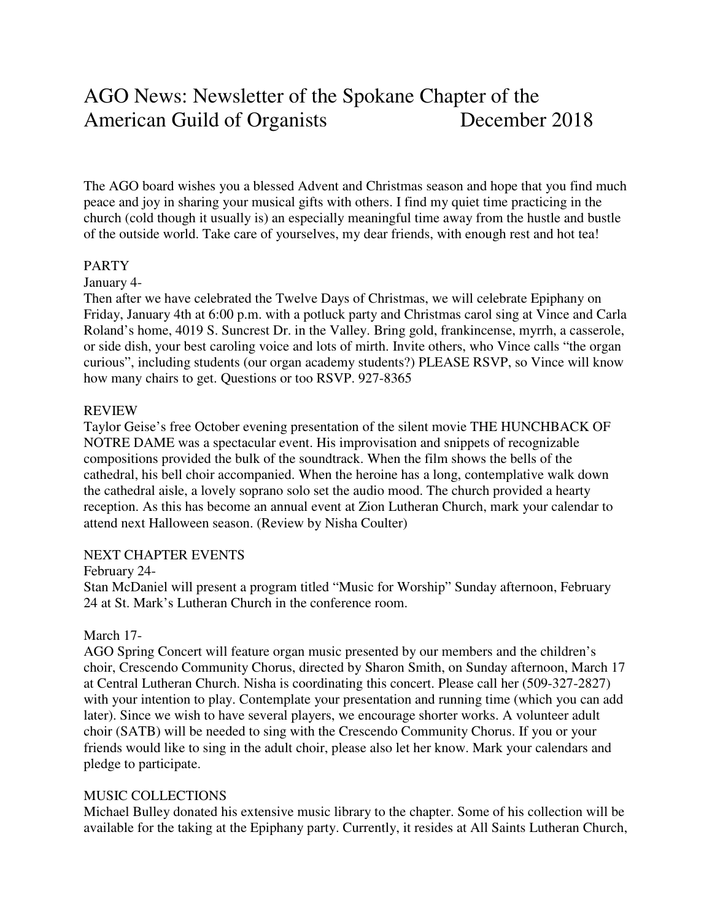# AGO News: Newsletter of the Spokane Chapter of the American Guild of Organists December 2018

The AGO board wishes you a blessed Advent and Christmas season and hope that you find much peace and joy in sharing your musical gifts with others. I find my quiet time practicing in the church (cold though it usually is) an especially meaningful time away from the hustle and bustle of the outside world. Take care of yourselves, my dear friends, with enough rest and hot tea!

#### PARTY

## January 4-

Then after we have celebrated the Twelve Days of Christmas, we will celebrate Epiphany on Friday, January 4th at 6:00 p.m. with a potluck party and Christmas carol sing at Vince and Carla Roland's home, 4019 S. Suncrest Dr. in the Valley. Bring gold, frankincense, myrrh, a casserole, or side dish, your best caroling voice and lots of mirth. Invite others, who Vince calls "the organ curious", including students (our organ academy students?) PLEASE RSVP, so Vince will know how many chairs to get. Questions or too RSVP. 927-8365

#### REVIEW

Taylor Geise's free October evening presentation of the silent movie THE HUNCHBACK OF NOTRE DAME was a spectacular event. His improvisation and snippets of recognizable compositions provided the bulk of the soundtrack. When the film shows the bells of the cathedral, his bell choir accompanied. When the heroine has a long, contemplative walk down the cathedral aisle, a lovely soprano solo set the audio mood. The church provided a hearty reception. As this has become an annual event at Zion Lutheran Church, mark your calendar to attend next Halloween season. (Review by Nisha Coulter)

#### NEXT CHAPTER EVENTS

## February 24-

Stan McDaniel will present a program titled "Music for Worship" Sunday afternoon, February 24 at St. Mark's Lutheran Church in the conference room.

## March 17-

AGO Spring Concert will feature organ music presented by our members and the children's choir, Crescendo Community Chorus, directed by Sharon Smith, on Sunday afternoon, March 17 at Central Lutheran Church. Nisha is coordinating this concert. Please call her (509-327-2827) with your intention to play. Contemplate your presentation and running time (which you can add later). Since we wish to have several players, we encourage shorter works. A volunteer adult choir (SATB) will be needed to sing with the Crescendo Community Chorus. If you or your friends would like to sing in the adult choir, please also let her know. Mark your calendars and pledge to participate.

## MUSIC COLLECTIONS

Michael Bulley donated his extensive music library to the chapter. Some of his collection will be available for the taking at the Epiphany party. Currently, it resides at All Saints Lutheran Church,